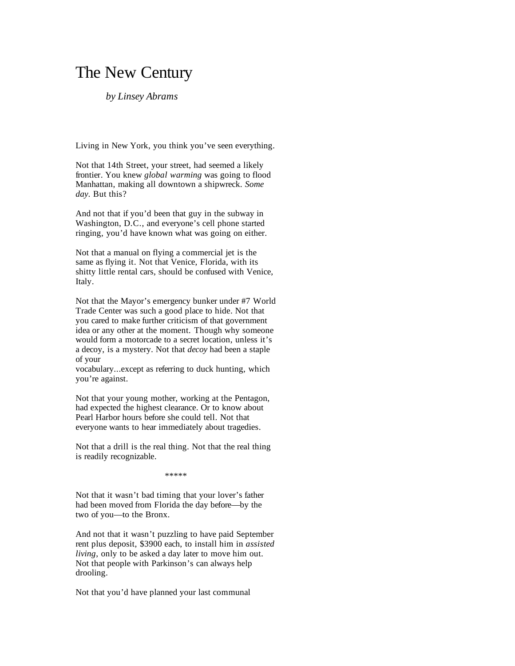## The New Century

## *by Linsey Abrams*

Living in New York, you think you've seen everything.

Not that 14th Street, your street, had seemed a likely frontier. You knew *global warming* was going to flood Manhattan, making all downtown a shipwreck. *Some day*. But this?

And not that if you'd been that guy in the subway in Washington, D.C., and everyone's cell phone started ringing, you'd have known what was going on either.

Not that a manual on flying a commercial jet is the same as flying it. Not that Venice, Florida, with its shitty little rental cars, should be confused with Venice, Italy.

Not that the Mayor's emergency bunker under #7 World Trade Center was such a good place to hide. Not that you cared to make further criticism of that government idea or any other at the moment. Though why someone would form a motorcade to a secret location, unless it's a decoy, is a mystery. Not that *decoy* had been a staple of your

vocabulary...except as referring to duck hunting, which you're against.

Not that your young mother, working at the Pentagon, had expected the highest clearance. Or to know about Pearl Harbor hours before she could tell. Not that everyone wants to hear immediately about tragedies.

Not that a drill is the real thing. Not that the real thing is readily recognizable.

\*\*\*\*\*

Not that it wasn't bad timing that your lover's father had been moved from Florida the day before—by the two of you—to the Bronx.

And not that it wasn't puzzling to have paid September rent plus deposit, \$3900 each, to install him in *assisted living*, only to be asked a day later to move him out. Not that people with Parkinson's can always help drooling.

Not that you'd have planned your last communal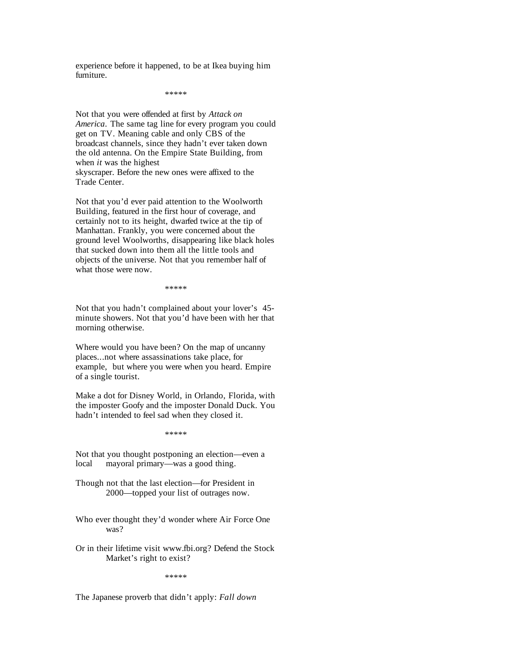experience before it happened, to be at Ikea buying him furniture.

\*\*\*\*\*

Not that you were offended at first by *Attack on America*. The same tag line for every program you could get on TV. Meaning cable and only CBS of the broadcast channels, since they hadn't ever taken down the old antenna. On the Empire State Building, from when *it* was the highest skyscraper. Before the new ones were affixed to the Trade Center.

Not that you'd ever paid attention to the Woolworth Building, featured in the first hour of coverage, and certainly not to its height, dwarfed twice at the tip of Manhattan. Frankly, you were concerned about the ground level Woolworths, disappearing like black holes that sucked down into them all the little tools and objects of the universe. Not that you remember half of what those were now.

\*\*\*\*\*

Not that you hadn't complained about your lover's 45 minute showers. Not that you'd have been with her that morning otherwise.

Where would you have been? On the map of uncanny places...not where assassinations take place, for example, but where you were when you heard. Empire of a single tourist.

Make a dot for Disney World, in Orlando, Florida, with the imposter Goofy and the imposter Donald Duck. You hadn't intended to feel sad when they closed it.

\*\*\*\*\*

Not that you thought postponing an election—even a local mayoral primary—was a good thing.

Though not that the last election—for President in 2000—topped your list of outrages now.

Who ever thought they'd wonder where Air Force One was?

Or in their lifetime visit www.fbi.org? Defend the Stock Market's right to exist?

\*\*\*\*\*

The Japanese proverb that didn't apply: *Fall down*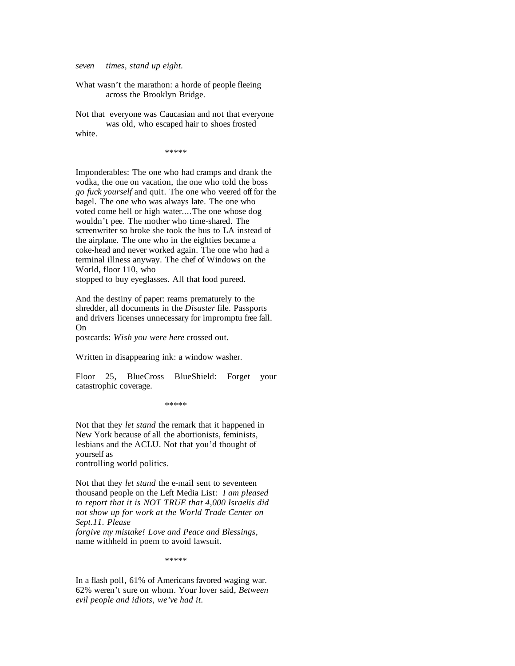*seven times, stand up eight.*

What wasn't the marathon: a horde of people fleeing across the Brooklyn Bridge.

Not that everyone was Caucasian and not that everyone was old, who escaped hair to shoes frosted white.

\*\*\*\*\*

Imponderables: The one who had cramps and drank the vodka, the one on vacation, the one who told the boss *go fuck yourself* and quit. The one who veered off for the bagel. The one who was always late. The one who voted come hell or high water....The one whose dog wouldn't pee. The mother who time-shared. The screenwriter so broke she took the bus to LA instead of the airplane. The one who in the eighties became a coke-head and never worked again. The one who had a terminal illness anyway. The chef of Windows on the World, floor 110, who

stopped to buy eyeglasses. All that food pureed.

And the destiny of paper: reams prematurely to the shredder, all documents in the *Disaster* file. Passports and drivers licenses unnecessary for impromptu free fall. On

postcards: *Wish you were here* crossed out.

Written in disappearing ink: a window washer.

Floor 25, BlueCross BlueShield: Forget your catastrophic coverage.

\*\*\*\*\*

Not that they *let stand* the remark that it happened in New York because of all the abortionists, feminists, lesbians and the ACLU. Not that you'd thought of yourself as controlling world politics.

Not that they *let stand* the e-mail sent to seventeen thousand people on the Left Media List: *I am pleased to report that it is NOT TRUE that 4,000 Israelis did not show up for work at the World Trade Center on Sept.11. Please* 

*forgive my mistake! Love and Peace and Blessings,*  name withheld in poem to avoid lawsuit.

\*\*\*\*\*

In a flash poll, 61% of Americans favored waging war. 62% weren't sure on whom. Your lover said, *Between evil people and idiots, we've had it.*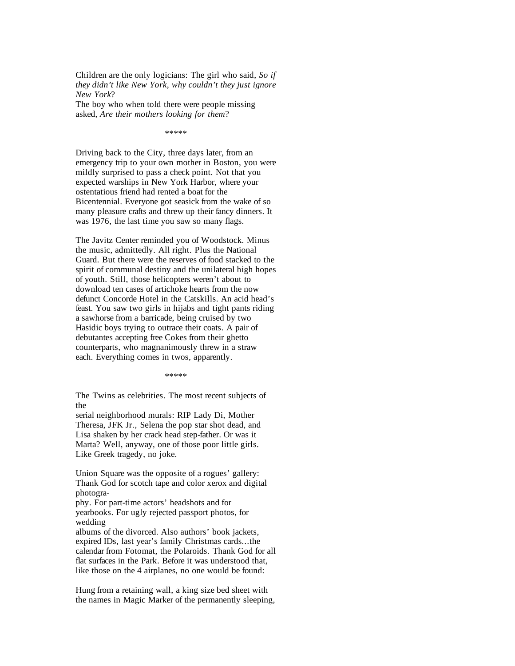Children are the only logicians: The girl who said, *So if they didn't like New York, why couldn't they just ignore New York*?

The boy who when told there were people missing asked, *Are their mothers looking for them*?

\*\*\*\*\*

Driving back to the City, three days later, from an emergency trip to your own mother in Boston, you were mildly surprised to pass a check point. Not that you expected warships in New York Harbor, where your ostentatious friend had rented a boat for the Bicentennial. Everyone got seasick from the wake of so many pleasure crafts and threw up their fancy dinners. It was 1976, the last time you saw so many flags.

The Javitz Center reminded you of Woodstock. Minus the music, admittedly. All right. Plus the National Guard. But there were the reserves of food stacked to the spirit of communal destiny and the unilateral high hopes of youth. Still, those helicopters weren't about to download ten cases of artichoke hearts from the now defunct Concorde Hotel in the Catskills. An acid head's feast. You saw two girls in hijabs and tight pants riding a sawhorse from a barricade, being cruised by two Hasidic boys trying to outrace their coats. A pair of debutantes accepting free Cokes from their ghetto counterparts, who magnanimously threw in a straw each. Everything comes in twos, apparently.

\*\*\*\*\*\*\*\*

The Twins as celebrities. The most recent subjects of the

serial neighborhood murals: RIP Lady Di, Mother Theresa, JFK Jr., Selena the pop star shot dead, and Lisa shaken by her crack head step-father. Or was it Marta? Well, anyway, one of those poor little girls. Like Greek tragedy, no joke.

Union Square was the opposite of a rogues' gallery: Thank God for scotch tape and color xerox and digital photogra-

phy. For part-time actors' headshots and for yearbooks. For ugly rejected passport photos, for wedding

albums of the divorced. Also authors' book jackets, expired IDs, last year's family Christmas cards...the calendar from Fotomat, the Polaroids. Thank God for all flat surfaces in the Park. Before it was understood that, like those on the 4 airplanes, no one would be found:

Hung from a retaining wall, a king size bed sheet with the names in Magic Marker of the permanently sleeping,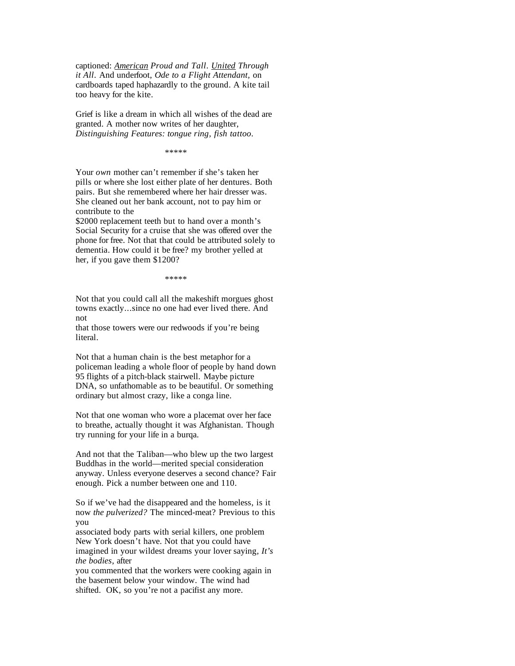captioned: *American Proud and Tall. United Through it All.* And underfoot, *Ode to a Flight Attendant,* on cardboards taped haphazardly to the ground. A kite tail too heavy for the kite.

Grief is like a dream in which all wishes of the dead are granted. A mother now writes of her daughter, *Distinguishing Features: tongue ring, fish tattoo.*

\*\*\*\*\*

Your *own* mother can't remember if she's taken her pills or where she lost either plate of her dentures. Both pairs. But she remembered where her hair dresser was. She cleaned out her bank account, not to pay him or contribute to the

\$2000 replacement teeth but to hand over a month's Social Security for a cruise that she was offered over the phone for free. Not that that could be attributed solely to dementia. How could it be free? my brother yelled at her, if you gave them \$1200?

\*\*\*\*\*

Not that you could call all the makeshift morgues ghost towns exactly...since no one had ever lived there. And not

that those towers were our redwoods if you're being literal.

Not that a human chain is the best metaphor for a policeman leading a whole floor of people by hand down 95 flights of a pitch-black stairwell. Maybe picture DNA, so unfathomable as to be beautiful. Or something ordinary but almost crazy, like a conga line.

Not that one woman who wore a placemat over her face to breathe, actually thought it was Afghanistan. Though try running for your life in a burqa.

And not that the Taliban—who blew up the two largest Buddhas in the world—merited special consideration anyway. Unless everyone deserves a second chance? Fair enough. Pick a number between one and 110.

So if we've had the disappeared and the homeless, is it now *the pulverized?* The minced-meat? Previous to this you

associated body parts with serial killers, one problem New York doesn't have. Not that you could have imagined in your wildest dreams your lover saying, *It's the bodies*, after

you commented that the workers were cooking again in the basement below your window. The wind had shifted. OK, so you're not a pacifist any more.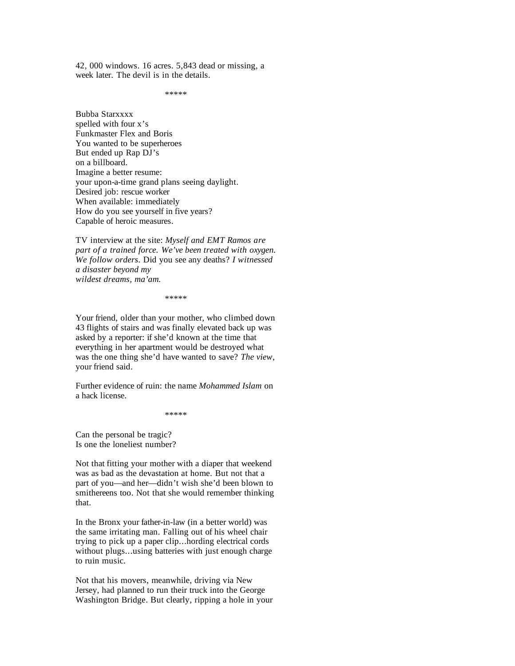42, 000 windows. 16 acres. 5,843 dead or missing, a week later. The devil is in the details.

\*\*\*\*\*

Bubba Starxxxx spelled with four x's Funkmaster Flex and Boris You wanted to be superheroes But ended up Rap DJ's on a billboard. Imagine a better resume: your upon-a-time grand plans seeing daylight. Desired job: rescue worker When available: immediately How do you see yourself in five years? Capable of heroic measures.

TV interview at the site: *Myself and EMT Ramos are part of a trained force. We've been treated with oxygen. We follow orders.* Did you see any deaths? *I witnessed a disaster beyond my wildest dreams, ma'am.* 

\*\*\*\*\*

Your friend, older than your mother, who climbed down 43 flights of stairs and was finally elevated back up was asked by a reporter: if she'd known at the time that everything in her apartment would be destroyed what was the one thing she'd have wanted to save? *The view*, your friend said.

Further evidence of ruin: the name *Mohammed Islam* on a hack license.

\*\*\*\*\*

Can the personal be tragic? Is one the loneliest number?

Not that fitting your mother with a diaper that weekend was as bad as the devastation at home. But not that a part of you—and her—didn't wish she'd been blown to smithereens too. Not that she would remember thinking that.

In the Bronx your father-in-law (in a better world) was the same irritating man. Falling out of his wheel chair trying to pick up a paper clip...hording electrical cords without plugs...using batteries with just enough charge to ruin music.

Not that his movers, meanwhile, driving via New Jersey, had planned to run their truck into the George Washington Bridge. But clearly, ripping a hole in your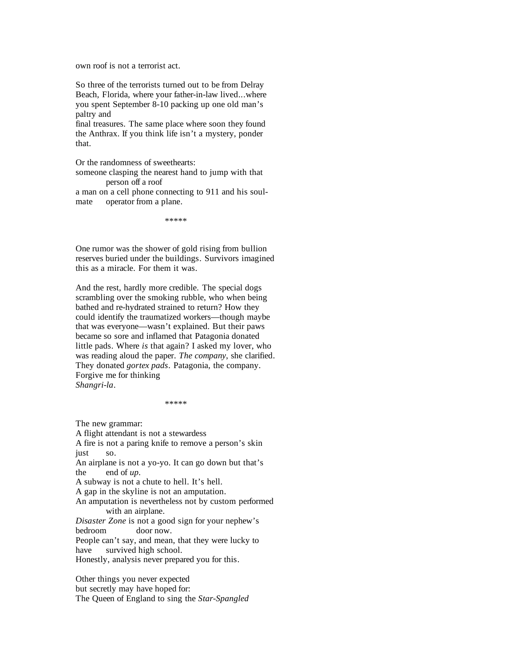own roof is not a terrorist act.

So three of the terrorists turned out to be from Delray Beach, Florida, where your father-in-law lived...where you spent September 8-10 packing up one old man's paltry and

final treasures. The same place where soon they found the Anthrax. If you think life isn't a mystery, ponder that.

Or the randomness of sweethearts:

someone clasping the nearest hand to jump with that person off a roof

a man on a cell phone connecting to 911 and his soulmate operator from a plane.

\*\*\*\*\*

One rumor was the shower of gold rising from bullion reserves buried under the buildings. Survivors imagined this as a miracle. For them it was.

And the rest, hardly more credible. The special dogs scrambling over the smoking rubble, who when being bathed and re-hydrated strained to return? How they could identify the traumatized workers—though maybe that was everyone—wasn't explained. But their paws became so sore and inflamed that Patagonia donated little pads. Where *is* that again? I asked my lover, who was reading aloud the paper. *The company*, she clarified. They donated *gortex pads*. Patagonia, the company. Forgive me for thinking *Shangri-la*.

\*\*\*\*\*

The new grammar:

A flight attendant is not a stewardess A fire is not a paring knife to remove a person's skin just so. An airplane is not a yo-yo. It can go down but that's the end of *up.*  A subway is not a chute to hell. It's hell. A gap in the skyline is not an amputation. An amputation is nevertheless not by custom performed with an airplane. *Disaster Zone* is not a good sign for your nephew's bedroom door now. People can't say, and mean, that they were lucky to have survived high school. Honestly, analysis never prepared you for this.

Other things you never expected but secretly may have hoped for: The Queen of England to sing the *Star-Spangled*